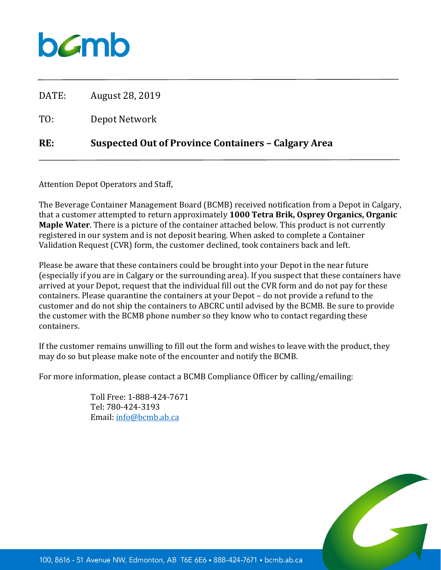## bamb

DATE: August 28, 2019 TO: Depot Network **RE: Suspected Out of Province Containers – Calgary Area**

Attention Depot Operators and Staff,

The Beverage Container Management Board (BCMB) received notification from a Depot in Calgary, that a customer attempted to return approximately **1000 Tetra Brik, Osprey Organics, Organic Maple Water**. There is a picture of the container attached below. This product is not currently registered in our system and is not deposit bearing. When asked to complete a Container Validation Request (CVR) form, the customer declined, took containers back and left.

Please be aware that these containers could be brought into your Depot in the near future (especially if you are in Calgary or the surrounding area). If you suspect that these containers have arrived at your Depot, request that the individual fill out the CVR form and do not pay for these containers. Please quarantine the containers at your Depot – do not provide a refund to the customer and do not ship the containers to ABCRC until advised by the BCMB. Be sure to provide the customer with the BCMB phone number so they know who to contact regarding these containers.

If the customer remains unwilling to fill out the form and wishes to leave with the product, they may do so but please make note of the encounter and notify the BCMB.

For more information, please contact a BCMB Compliance Officer by calling/emailing:

Toll Free: 1-888-424-7671 Tel: 780-424-3193 Email: [info@bcmb.ab.ca](mailto:info@bcmb.ab.ca)